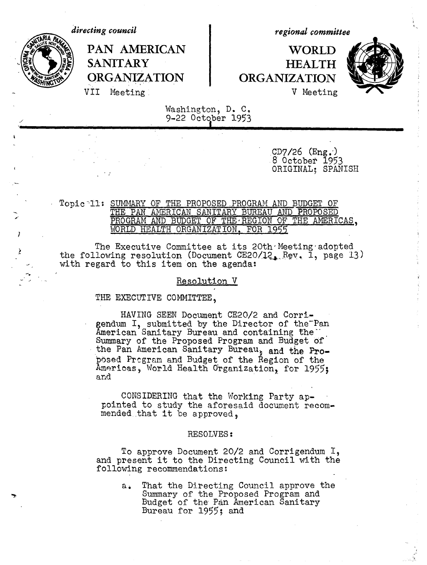*directing council*



*regional committee*

# PAN AMERICAN | WORLD SANITARY **HEALTH** ORGANIZATION **ORGANIZATION** VII Meeting: V Meeting



Washington, D. C, 9-22 October 1953

> $CD7/26$   $(Eng.)$ 8 October 1953 ORIGINAL; SPANISH

### Topic 'll: SUMMARY OF THE PROPOSED PROGRAM AND BUDGET OF THE PAN AMERICAN SANITARY BUREAU AND PROPOSED PROGRAM AND BUDGET OF THE REGION OF THE AMERICAS, WORLD HEALTH ORGANIZATION, FOR 1955

The Executive Committee at its  $20th$  Meeting adopted the following resolution (Document CE20/12, Rev. 1, page 13) with regard to this item on the agenda:

#### Resolution V

THE EXECUTIVE COMMITTEE.

HAVING SEEN Document CE20/2 and Corrigendum I, submitted by the Director of the-Pan American Sanitary Bureau and containing the  $\cdot$ Summary of the Proposed Program and Budget of the Pan American Sanitary Bureau, and the Proposed Prgram and Budget of the Region of the Americas, World Health Organization, for 1955; and

CONSIDERING that the Working Party appointed to study the aforesaid document recommended that it be approved.

#### RESOLVES:

To approve Document 20/2 and Corrigendum I, and present it to the Directing Council with the following recommendations:

> a. That the Directing Council approve the Summary of the Proposed Program and Budget of the Pan American Sanitary Bureau for 1955; and